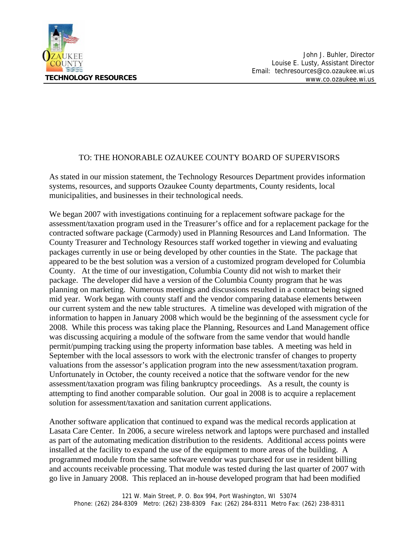

## TO: THE HONORABLE OZAUKEE COUNTY BOARD OF SUPERVISORS

As stated in our mission statement, the Technology Resources Department provides information systems, resources, and supports Ozaukee County departments, County residents, local municipalities, and businesses in their technological needs.

We began 2007 with investigations continuing for a replacement software package for the assessment/taxation program used in the Treasurer's office and for a replacement package for the contracted software package (Carmody) used in Planning Resources and Land Information. The County Treasurer and Technology Resources staff worked together in viewing and evaluating packages currently in use or being developed by other counties in the State. The package that appeared to be the best solution was a version of a customized program developed for Columbia County. At the time of our investigation, Columbia County did not wish to market their package. The developer did have a version of the Columbia County program that he was planning on marketing. Numerous meetings and discussions resulted in a contract being signed mid year. Work began with county staff and the vendor comparing database elements between our current system and the new table structures. A timeline was developed with migration of the information to happen in January 2008 which would be the beginning of the assessment cycle for 2008. While this process was taking place the Planning, Resources and Land Management office was discussing acquiring a module of the software from the same vendor that would handle permit/pumping tracking using the property information base tables. A meeting was held in September with the local assessors to work with the electronic transfer of changes to property valuations from the assessor's application program into the new assessment/taxation program. Unfortunately in October, the county received a notice that the software vendor for the new assessment/taxation program was filing bankruptcy proceedings. As a result, the county is attempting to find another comparable solution. Our goal in 2008 is to acquire a replacement solution for assessment/taxation and sanitation current applications.

Another software application that continued to expand was the medical records application at Lasata Care Center. In 2006, a secure wireless network and laptops were purchased and installed as part of the automating medication distribution to the residents. Additional access points were installed at the facility to expand the use of the equipment to more areas of the building. A programmed module from the same software vendor was purchased for use in resident billing and accounts receivable processing. That module was tested during the last quarter of 2007 with go live in January 2008. This replaced an in-house developed program that had been modified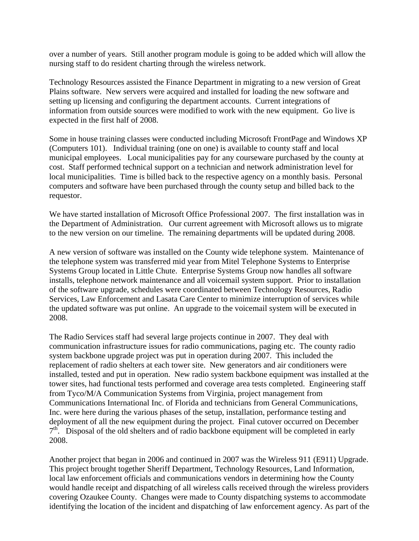over a number of years. Still another program module is going to be added which will allow the nursing staff to do resident charting through the wireless network.

Technology Resources assisted the Finance Department in migrating to a new version of Great Plains software. New servers were acquired and installed for loading the new software and setting up licensing and configuring the department accounts. Current integrations of information from outside sources were modified to work with the new equipment. Go live is expected in the first half of 2008.

Some in house training classes were conducted including Microsoft FrontPage and Windows XP (Computers 101). Individual training (one on one) is available to county staff and local municipal employees. Local municipalities pay for any courseware purchased by the county at cost. Staff performed technical support on a technician and network administration level for local municipalities. Time is billed back to the respective agency on a monthly basis. Personal computers and software have been purchased through the county setup and billed back to the requestor.

We have started installation of Microsoft Office Professional 2007. The first installation was in the Department of Administration. Our current agreement with Microsoft allows us to migrate to the new version on our timeline. The remaining departments will be updated during 2008.

A new version of software was installed on the County wide telephone system. Maintenance of the telephone system was transferred mid year from Mitel Telephone Systems to Enterprise Systems Group located in Little Chute. Enterprise Systems Group now handles all software installs, telephone network maintenance and all voicemail system support. Prior to installation of the software upgrade, schedules were coordinated between Technology Resources, Radio Services, Law Enforcement and Lasata Care Center to minimize interruption of services while the updated software was put online. An upgrade to the voicemail system will be executed in 2008.

The Radio Services staff had several large projects continue in 2007. They deal with communication infrastructure issues for radio communications, paging etc. The county radio system backbone upgrade project was put in operation during 2007. This included the replacement of radio shelters at each tower site. New generators and air conditioners were installed, tested and put in operation. New radio system backbone equipment was installed at the tower sites, had functional tests performed and coverage area tests completed. Engineering staff from Tyco/M/A Communication Systems from Virginia, project management from Communications International Inc. of Florida and technicians from General Communications, Inc. were here during the various phases of the setup, installation, performance testing and deployment of all the new equipment during the project. Final cutover occurred on December  $7<sup>th</sup>$ . Disposal of the old shelters and of radio backbone equipment will be completed in early 2008.

Another project that began in 2006 and continued in 2007 was the Wireless 911 (E911) Upgrade. This project brought together Sheriff Department, Technology Resources, Land Information, local law enforcement officials and communications vendors in determining how the County would handle receipt and dispatching of all wireless calls received through the wireless providers covering Ozaukee County. Changes were made to County dispatching systems to accommodate identifying the location of the incident and dispatching of law enforcement agency. As part of the